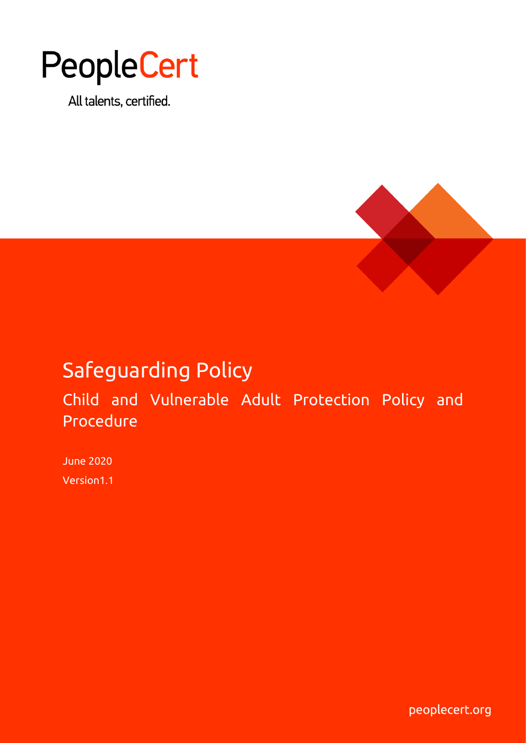# PeopleCert

All talents, certified.



# Safeguarding Policy

Child and Vulnerable Adult Protection Policy and Procedure

June 2020 Version1.1

peoplecert.org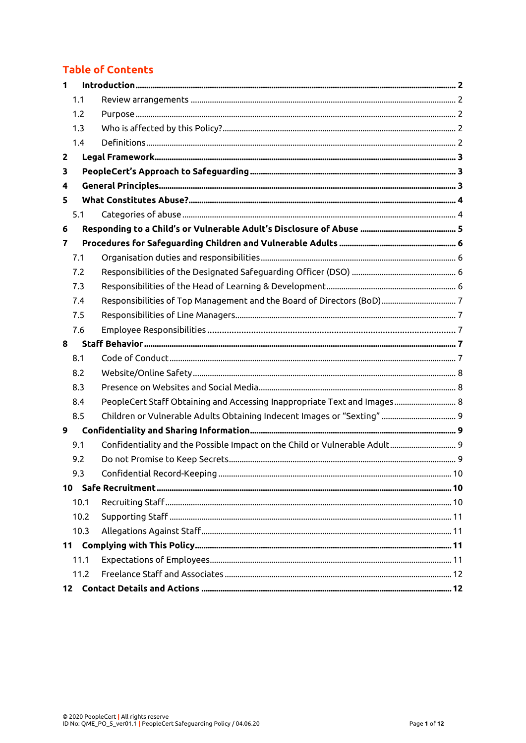# **Table of Contents**

| $\mathbf{1}$ |      |                                                                            |  |
|--------------|------|----------------------------------------------------------------------------|--|
|              | 1.1  |                                                                            |  |
|              | 1.2  |                                                                            |  |
|              | 1.3  |                                                                            |  |
|              | 1.4  |                                                                            |  |
| $\mathbf{2}$ |      |                                                                            |  |
| 3            |      |                                                                            |  |
| 4            |      |                                                                            |  |
| 5            |      |                                                                            |  |
|              | 5.1  |                                                                            |  |
| 6            |      |                                                                            |  |
| 7            |      |                                                                            |  |
|              | 7.1  |                                                                            |  |
|              | 7.2  |                                                                            |  |
|              | 7.3  |                                                                            |  |
|              | 7.4  |                                                                            |  |
|              | 7.5  |                                                                            |  |
|              | 7.6  |                                                                            |  |
| 8            |      |                                                                            |  |
|              | 8.1  |                                                                            |  |
|              | 8.2  |                                                                            |  |
|              | 8.3  |                                                                            |  |
|              | 8.4  | PeopleCert Staff Obtaining and Accessing Inappropriate Text and Images 8   |  |
|              | 8.5  | Children or Vulnerable Adults Obtaining Indecent Images or "Sexting"  9    |  |
| 9            |      |                                                                            |  |
|              | 9.1  | Confidentiality and the Possible Impact on the Child or Vulnerable Adult 9 |  |
|              | 9.2  |                                                                            |  |
|              | 9.3  |                                                                            |  |
|              |      |                                                                            |  |
|              | 10.1 |                                                                            |  |
|              | 10.2 |                                                                            |  |
|              | 10.3 |                                                                            |  |
|              |      |                                                                            |  |
|              | 11.1 |                                                                            |  |
|              | 11.2 |                                                                            |  |
|              |      |                                                                            |  |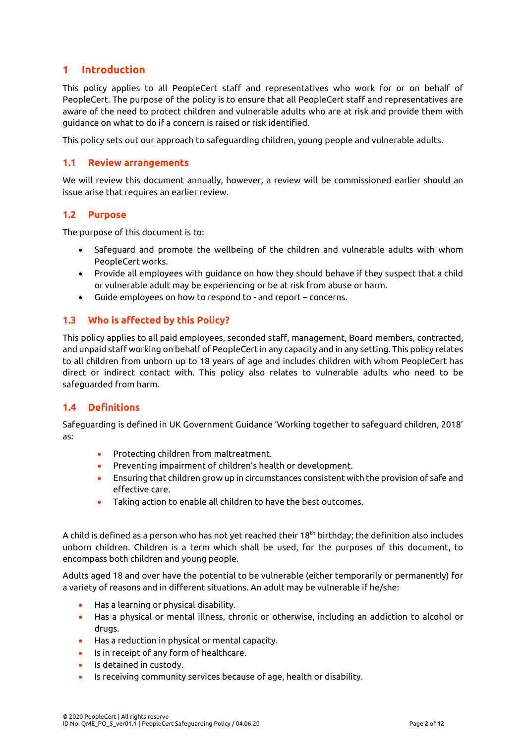#### <span id="page-2-0"></span>**1 Introduction**

This policy applies to all PeopleCert staff and representatives who work for or on behalf of PeopleCert. The purpose of the policy is to ensure that all PeopleCert staff and representatives are aware of the need to protect children and vulnerable adults who are at risk and provide them with guidance on what to do if a concern is raised or risk identified.

This policy sets out our approach to safeguarding children, young people and vulnerable adults.

#### <span id="page-2-1"></span>**1.1 Review arrangements**

We will review this document annually, however, a review will be commissioned earlier should an issue arise that requires an earlier review.

#### <span id="page-2-2"></span>**1.2 Purpose**

The purpose of this document is to:

- Safeguard and promote the wellbeing of the children and vulnerable adults with whom PeopleCert works.
- Provide all employees with guidance on how they should behave if they suspect that a child or vulnerable adult may be experiencing or be at risk from abuse or harm.
- Guide employees on how to respond to and report concerns.

#### <span id="page-2-3"></span>**1.3 Who is affected by this Policy?**

This policy applies to all paid employees, seconded staff, management, Board members, contracted, and unpaid staff working on behalf of PeopleCert in any capacity and in any setting. This policy relates to all children from unborn up to 18 years of age and includes children with whom PeopleCert has direct or indirect contact with. This policy also relates to vulnerable adults who need to be safeguarded from harm.

#### <span id="page-2-4"></span>**1.4 Definitions**

Safeguarding is defined in UK Government Guidance 'Working together to safeguard children, 2018' as:

- Protecting children from maltreatment.
- Preventing impairment of children's health or development.
- Ensuring that children grow up in circumstances consistent with the provision of safe and effective care.
- Taking action to enable all children to have the best outcomes.

A child is defined as a person who has not yet reached their 18<sup>th</sup> birthday; the definition also includes unborn children. Children is a term which shall be used, for the purposes of this document, to encompass both children and young people.

Adults aged 18 and over have the potential to be vulnerable (either temporarily or permanently) for a variety of reasons and in different situations. An adult may be vulnerable if he/she:

- Has a learning or physical disability.
- Has a physical or mental illness, chronic or otherwise, including an addiction to alcohol or drugs.
- Has a reduction in physical or mental capacity.
- Is in receipt of any form of healthcare.
- Is detained in custody.
- Is receiving community services because of age, health or disability.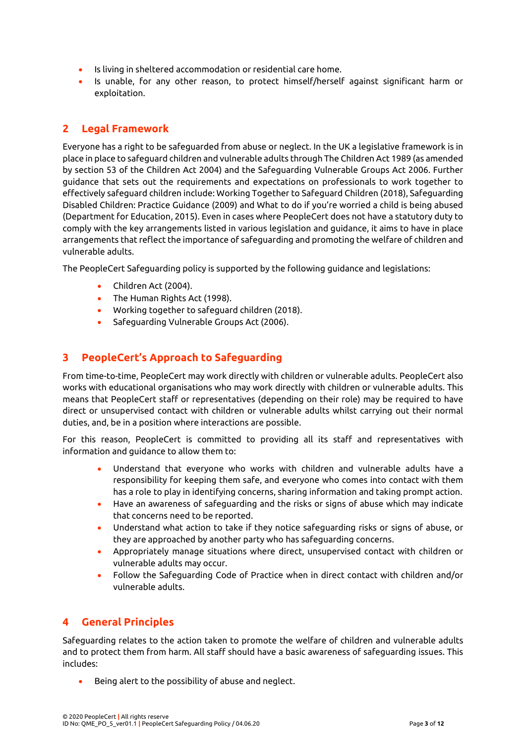- Is living in sheltered accommodation or residential care home.
- Is unable, for any other reason, to protect himself/herself against significant harm or exploitation.

#### <span id="page-3-0"></span>**2 Legal Framework**

Everyone has a right to be safeguarded from abuse or neglect. In the UK a legislative framework is in place in place to safeguard children and vulnerable adults through The Children Act 1989 (as amended by section 53 of the Children Act 2004) and the Safeguarding Vulnerable Groups Act 2006. Further guidance that sets out the requirements and expectations on professionals to work together to effectively safeguard children include: Working Together to Safeguard Children (2018), Safeguarding Disabled Children: Practice Guidance (2009) and What to do if you're worried a child is being abused (Department for Education, 2015). Even in cases where PeopleCert does not have a statutory duty to comply with the key arrangements listed in various legislation and guidance, it aims to have in place arrangements that reflect the importance of safeguarding and promoting the welfare of children and vulnerable adults.

The PeopleCert Safeguarding policy is supported by the following guidance and legislations:

- Children Act (2004).
- The Human Rights Act (1998).
- Working together to safeguard children (2018).
- Safeguarding Vulnerable Groups Act (2006).

#### <span id="page-3-1"></span>**3 PeopleCert's Approach to Safeguarding**

From time-to-time, PeopleCert may work directly with children or vulnerable adults. PeopleCert also works with educational organisations who may work directly with children or vulnerable adults. This means that PeopleCert staff or representatives (depending on their role) may be required to have direct or unsupervised contact with children or vulnerable adults whilst carrying out their normal duties, and, be in a position where interactions are possible.

For this reason, PeopleCert is committed to providing all its staff and representatives with information and guidance to allow them to:

- Understand that everyone who works with children and vulnerable adults have a responsibility for keeping them safe, and everyone who comes into contact with them has a role to play in identifying concerns, sharing information and taking prompt action.
- Have an awareness of safeguarding and the risks or signs of abuse which may indicate that concerns need to be reported.
- Understand what action to take if they notice safeguarding risks or signs of abuse, or they are approached by another party who has safeguarding concerns.
- Appropriately manage situations where direct, unsupervised contact with children or vulnerable adults may occur.
- Follow the Safeguarding Code of Practice when in direct contact with children and/or vulnerable adults.

## <span id="page-3-2"></span>**4 General Principles**

Safeguarding relates to the action taken to promote the welfare of children and vulnerable adults and to protect them from harm. All staff should have a basic awareness of safeguarding issues. This includes:

Being alert to the possibility of abuse and neglect.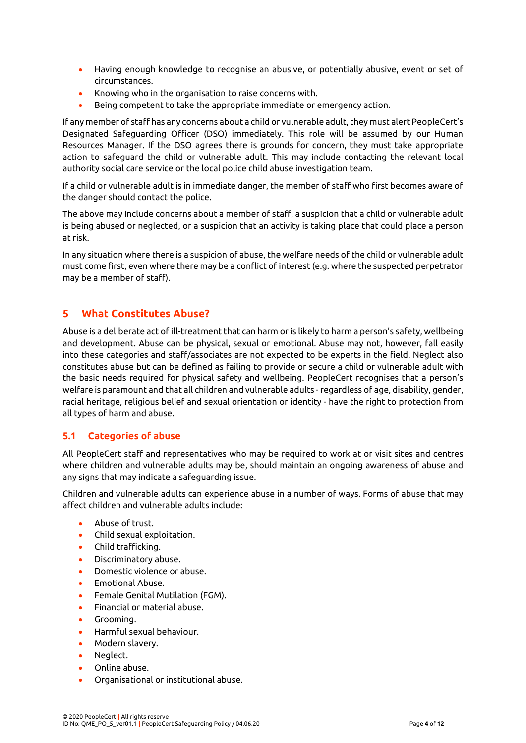- Having enough knowledge to recognise an abusive, or potentially abusive, event or set of circumstances.
- Knowing who in the organisation to raise concerns with.
- Being competent to take the appropriate immediate or emergency action.

If any member of staff has any concerns about a child or vulnerable adult, they must alert PeopleCert's Designated Safeguarding Officer (DSO) immediately. This role will be assumed by our Human Resources Manager. If the DSO agrees there is grounds for concern, they must take appropriate action to safeguard the child or vulnerable adult. This may include contacting the relevant local authority social care service or the local police child abuse investigation team.

If a child or vulnerable adult is in immediate danger, the member of staff who first becomes aware of the danger should contact the police.

The above may include concerns about a member of staff, a suspicion that a child or vulnerable adult is being abused or neglected, or a suspicion that an activity is taking place that could place a person at risk.

In any situation where there is a suspicion of abuse, the welfare needs of the child or vulnerable adult must come first, even where there may be a conflict of interest (e.g. where the suspected perpetrator may be a member of staff).

#### <span id="page-4-0"></span>**5 What Constitutes Abuse?**

Abuse is a deliberate act of ill-treatment that can harm oris likely to harm a person's safety, wellbeing and development. Abuse can be physical, sexual or emotional. Abuse may not, however, fall easily into these categories and staff/associates are not expected to be experts in the field. Neglect also constitutes abuse but can be defined as failing to provide or secure a child or vulnerable adult with the basic needs required for physical safety and wellbeing. PeopleCert recognises that a person's welfare is paramount and that all children and vulnerable adults - regardless of age, disability, gender, racial heritage, religious belief and sexual orientation or identity - have the right to protection from all types of harm and abuse.

#### <span id="page-4-1"></span>**5.1 Categories of abuse**

All PeopleCert staff and representatives who may be required to work at or visit sites and centres where children and vulnerable adults may be, should maintain an ongoing awareness of abuse and any signs that may indicate a safeguarding issue.

Children and vulnerable adults can experience abuse in a number of ways. Forms of abuse that may affect children and vulnerable adults include:

- Abuse of trust.
- Child sexual exploitation.
- Child trafficking.
- Discriminatory abuse.
- Domestic violence or abuse.
- Emotional Abuse.
- Female Genital Mutilation (FGM).
- Financial or material abuse.
- Grooming.
- Harmful sexual behaviour.
- Modern slavery.
- Neglect.
- Online abuse.
- Organisational or institutional abuse.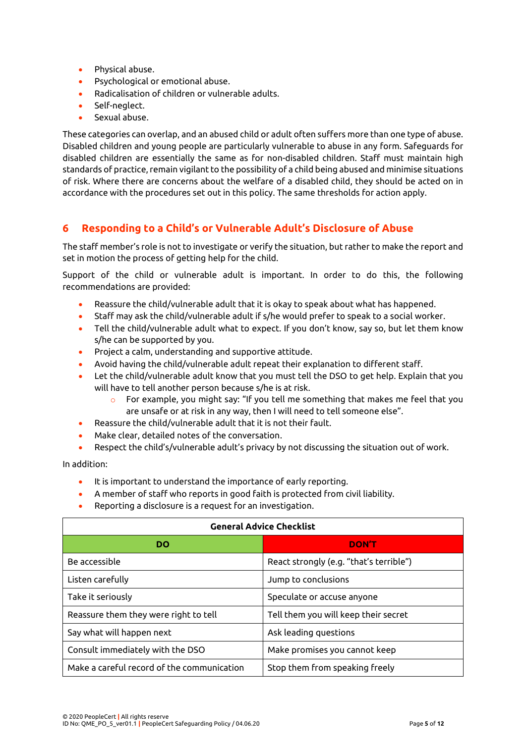- Physical abuse.
- Psychological or emotional abuse.
- Radicalisation of children or vulnerable adults.
- Self-neglect.
- Sexual abuse.

These categories can overlap, and an abused child or adult often suffers more than one type of abuse. Disabled children and young people are particularly vulnerable to abuse in any form. Safeguards for disabled children are essentially the same as for non-disabled children. Staff must maintain high standards of practice, remain vigilant to the possibility of a child being abused and minimise situations of risk. Where there are concerns about the welfare of a disabled child, they should be acted on in accordance with the procedures set out in this policy. The same thresholds for action apply.

#### <span id="page-5-0"></span>**6 Responding to a Child's or Vulnerable Adult's Disclosure of Abuse**

The staff member's role is not to investigate or verify the situation, but rather to make the report and set in motion the process of getting help for the child.

Support of the child or vulnerable adult is important. In order to do this, the following recommendations are provided:

- Reassure the child/vulnerable adult that it is okay to speak about what has happened.
- Staff may ask the child/vulnerable adult if s/he would prefer to speak to a social worker.
- Tell the child/vulnerable adult what to expect. If you don't know, say so, but let them know s/he can be supported by you.
- Project a calm, understanding and supportive attitude.
- Avoid having the child/vulnerable adult repeat their explanation to different staff.
- Let the child/vulnerable adult know that you must tell the DSO to get help. Explain that you will have to tell another person because s/he is at risk.
	- o For example, you might say: "If you tell me something that makes me feel that you are unsafe or at risk in any way, then I will need to tell someone else".
- Reassure the child/vulnerable adult that it is not their fault.
- Make clear, detailed notes of the conversation.
- Respect the child's/vulnerable adult's privacy by not discussing the situation out of work.

In addition:

- It is important to understand the importance of early reporting.
- A member of staff who reports in good faith is protected from civil liability.
- Reporting a disclosure is a request for an investigation.

| <b>General Advice Checklist</b>            |                                         |  |  |
|--------------------------------------------|-----------------------------------------|--|--|
| DO                                         | <b>DON'T</b>                            |  |  |
| Be accessible                              | React strongly (e.g. "that's terrible") |  |  |
| Listen carefully                           | Jump to conclusions                     |  |  |
| Take it seriously                          | Speculate or accuse anyone              |  |  |
| Reassure them they were right to tell      | Tell them you will keep their secret    |  |  |
| Say what will happen next                  | Ask leading questions                   |  |  |
| Consult immediately with the DSO           | Make promises you cannot keep           |  |  |
| Make a careful record of the communication | Stop them from speaking freely          |  |  |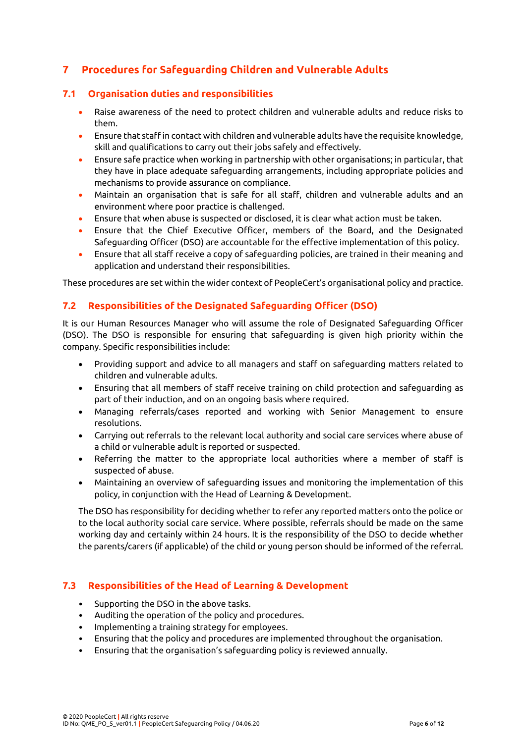# <span id="page-6-0"></span>**7 Procedures for Safeguarding Children and Vulnerable Adults**

#### <span id="page-6-1"></span>**7.1 Organisation duties and responsibilities**

- Raise awareness of the need to protect children and vulnerable adults and reduce risks to them.
- Ensure that staffin contact with children and vulnerable adults have the requisite knowledge, skill and qualifications to carry out their jobs safely and effectively.
- Ensure safe practice when working in partnership with other organisations; in particular, that they have in place adequate safeguarding arrangements, including appropriate policies and mechanisms to provide assurance on compliance.
- Maintain an organisation that is safe for all staff, children and vulnerable adults and an environment where poor practice is challenged.
- Ensure that when abuse is suspected or disclosed, it is clear what action must be taken.
- Ensure that the Chief Executive Officer, members of the Board, and the Designated Safeguarding Officer (DSO) are accountable for the effective implementation of this policy.
- Ensure that all staff receive a copy of safeguarding policies, are trained in their meaning and application and understand their responsibilities.

These procedures are set within the wider context of PeopleCert's organisational policy and practice.

#### <span id="page-6-2"></span>**7.2 Responsibilities of the Designated Safeguarding Officer (DSO)**

It is our Human Resources Manager who will assume the role of Designated Safeguarding Officer (DSO). The DSO is responsible for ensuring that safeguarding is given high priority within the company. Specific responsibilities include:

- Providing support and advice to all managers and staff on safeguarding matters related to children and vulnerable adults.
- Ensuring that all members of staff receive training on child protection and safeguarding as part of their induction, and on an ongoing basis where required.
- Managing referrals/cases reported and working with Senior Management to ensure resolutions.
- Carrying out referrals to the relevant local authority and social care services where abuse of a child or vulnerable adult is reported or suspected.
- Referring the matter to the appropriate local authorities where a member of staff is suspected of abuse.
- Maintaining an overview of safeguarding issues and monitoring the implementation of this policy, in conjunction with the Head of Learning & Development.

The DSO has responsibility for deciding whether to refer any reported matters onto the police or to the local authority social care service. Where possible, referrals should be made on the same working day and certainly within 24 hours. It is the responsibility of the DSO to decide whether the parents/carers (if applicable) of the child or young person should be informed of the referral.

#### <span id="page-6-3"></span>**7.3 Responsibilities of the Head of Learning & Development**

- Supporting the DSO in the above tasks.
- Auditing the operation of the policy and procedures.
- Implementing a training strategy for employees.
- Ensuring that the policy and procedures are implemented throughout the organisation.
- Ensuring that the organisation's safeguarding policy is reviewed annually.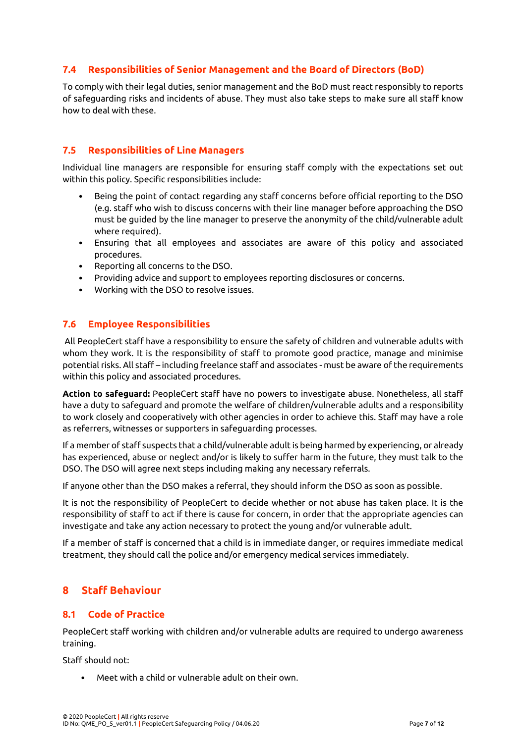#### <span id="page-7-0"></span>**7.4 Responsibilities of Senior Management and the Board of Directors (BoD)**

To comply with their legal duties, senior management and the BoD must react responsibly to reports of safeguarding risks and incidents of abuse. They must also take steps to make sure all staff know how to deal with these.

#### <span id="page-7-1"></span>**7.5 Responsibilities of Line Managers**

Individual line managers are responsible for ensuring staff comply with the expectations set out within this policy. Specific responsibilities include:

- Being the point of contact regarding any staff concerns before official reporting to the DSO (e.g. staff who wish to discuss concerns with their line manager before approaching the DSO must be guided by the line manager to preserve the anonymity of the child/vulnerable adult where required).
- Ensuring that all employees and associates are aware of this policy and associated procedures.
- Reporting all concerns to the DSO.
- Providing advice and support to employees reporting disclosures or concerns.
- Working with the DSO to resolve issues.

#### <span id="page-7-2"></span>**7.6 Employee Responsibilities**

All PeopleCert staff have a responsibility to ensure the safety of children and vulnerable adults with whom they work. It is the responsibility of staff to promote good practice, manage and minimise potential risks. All staff – including freelance staff and associates - must be aware of the requirements within this policy and associated procedures.

**Action to safeguard:** PeopleCert staff have no powers to investigate abuse. Nonetheless, all staff have a duty to safeguard and promote the welfare of children/vulnerable adults and a responsibility to work closely and cooperatively with other agencies in order to achieve this. Staff may have a role as referrers, witnesses or supporters in safeguarding processes.

If a member of staff suspects that a child/vulnerable adult is being harmed by experiencing, or already has experienced, abuse or neglect and/or is likely to suffer harm in the future, they must talk to the DSO. The DSO will agree next steps including making any necessary referrals.

If anyone other than the DSO makes a referral, they should inform the DSO as soon as possible.

It is not the responsibility of PeopleCert to decide whether or not abuse has taken place. It is the responsibility of staff to act if there is cause for concern, in order that the appropriate agencies can investigate and take any action necessary to protect the young and/or vulnerable adult.

If a member of staff is concerned that a child is in immediate danger, or requires immediate medical treatment, they should call the police and/or emergency medical services immediately.

#### <span id="page-7-3"></span>**8 Staff Behaviour**

#### <span id="page-7-4"></span>**8.1 Code of Practice**

PeopleCert staff working with children and/or vulnerable adults are required to undergo awareness training.

Staff should not:

• Meet with a child or vulnerable adult on their own.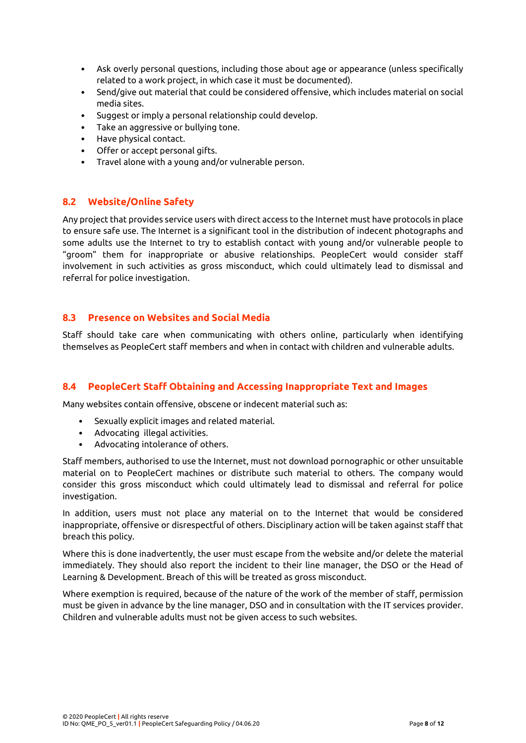- Ask overly personal questions, including those about age or appearance (unless specifically related to a work project, in which case it must be documented).
- Send/give out material that could be considered offensive, which includes material on social media sites.
- Suggest or imply a personal relationship could develop.
- Take an aggressive or bullying tone.
- Have physical contact.
- Offer or accept personal gifts.
- Travel alone with a young and/or vulnerable person.

#### <span id="page-8-0"></span>**8.2 Website/Online Safety**

Any project that provides service users with direct access to the Internet must have protocols in place to ensure safe use. The Internet is a significant tool in the distribution of indecent photographs and some adults use the Internet to try to establish contact with young and/or vulnerable people to "groom" them for inappropriate or abusive relationships. PeopleCert would consider staff involvement in such activities as gross misconduct, which could ultimately lead to dismissal and referral for police investigation.

#### <span id="page-8-1"></span>**8.3 Presence on Websites and Social Media**

Staff should take care when communicating with others online, particularly when identifying themselves as PeopleCert staff members and when in contact with children and vulnerable adults.

#### <span id="page-8-2"></span>**8.4 PeopleCert Staff Obtaining and Accessing Inappropriate Text and Images**

Many websites contain offensive, obscene or indecent material such as:

- Sexually explicit images and related material.
- Advocating illegal activities.
- Advocating intolerance of others.

Staff members, authorised to use the Internet, must not download pornographic or other unsuitable material on to PeopleCert machines or distribute such material to others. The company would consider this gross misconduct which could ultimately lead to dismissal and referral for police investigation.

In addition, users must not place any material on to the Internet that would be considered inappropriate, offensive or disrespectful of others. Disciplinary action will be taken against staff that breach this policy.

Where this is done inadvertently, the user must escape from the website and/or delete the material immediately. They should also report the incident to their line manager, the DSO or the Head of Learning & Development. Breach of this will be treated as gross misconduct.

Where exemption is required, because of the nature of the work of the member of staff, permission must be given in advance by the line manager, DSO and in consultation with the IT services provider. Children and vulnerable adults must not be given access to such websites.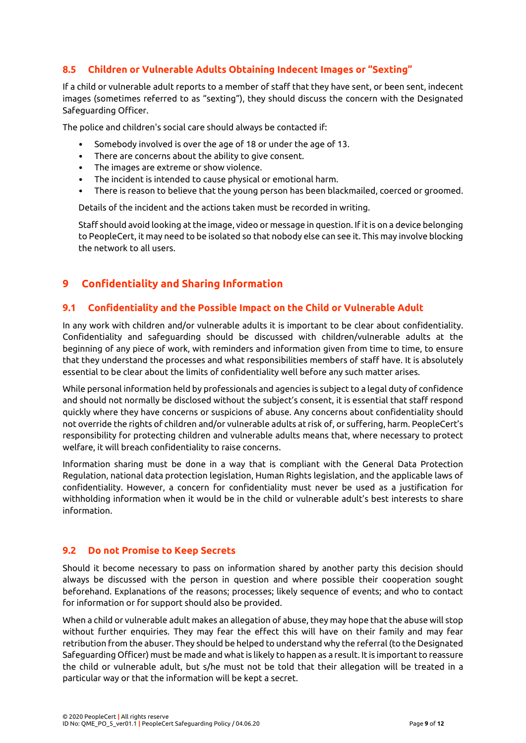#### <span id="page-9-0"></span>**8.5 Children or Vulnerable Adults Obtaining Indecent Images or "Sexting"**

If a child or vulnerable adult reports to a member of staff that they have sent, or been sent, indecent images (sometimes referred to as "sexting"), they should discuss the concern with the Designated Safeguarding Officer.

The police and children's social care should always be contacted if:

- Somebody involved is over the age of 18 or under the age of 13.
- There are concerns about the ability to give consent.
- The images are extreme or show violence.
- The incident is intended to cause physical or emotional harm.
- There is reason to believe that the young person has been blackmailed, coerced or groomed.

Details of the incident and the actions taken must be recorded in writing.

Staff should avoid looking at the image, video or message in question. Ifit is on a device belonging to PeopleCert, it may need to be isolated so that nobody else can see it. This may involve blocking the network to all users.

#### <span id="page-9-1"></span>**9 Confidentiality and Sharing Information**

#### <span id="page-9-2"></span>**9.1 Confidentiality and the Possible Impact on the Child or Vulnerable Adult**

In any work with children and/or vulnerable adults it is important to be clear about confidentiality. Confidentiality and safeguarding should be discussed with children/vulnerable adults at the beginning of any piece of work, with reminders and information given from time to time, to ensure that they understand the processes and what responsibilities members of staff have. It is absolutely essential to be clear about the limits of confidentiality well before any such matter arises.

While personal information held by professionals and agencies is subject to a legal duty of confidence and should not normally be disclosed without the subject's consent, it is essential that staff respond quickly where they have concerns or suspicions of abuse. Any concerns about confidentiality should not override the rights of children and/or vulnerable adults at risk of, or suffering, harm. PeopleCert's responsibility for protecting children and vulnerable adults means that, where necessary to protect welfare, it will breach confidentiality to raise concerns.

Information sharing must be done in a way that is compliant with the General Data Protection Regulation, national data protection legislation, Human Rights legislation, and the applicable laws of confidentiality. However, a concern for confidentiality must never be used as a justification for withholding information when it would be in the child or vulnerable adult's best interests to share information.

#### <span id="page-9-3"></span>**9.2 Do not Promise to Keep Secrets**

Should it become necessary to pass on information shared by another party this decision should always be discussed with the person in question and where possible their cooperation sought beforehand. Explanations of the reasons; processes; likely sequence of events; and who to contact for information or for support should also be provided.

When a child or vulnerable adult makes an allegation of abuse, they may hope that the abuse will stop without further enquiries. They may fear the effect this will have on their family and may fear retribution from the abuser. They should be helped to understand why the referral (to the Designated Safeguarding Officer) must be made and what is likely to happen as a result. It is important to reassure the child or vulnerable adult, but s/he must not be told that their allegation will be treated in a particular way or that the information will be kept a secret.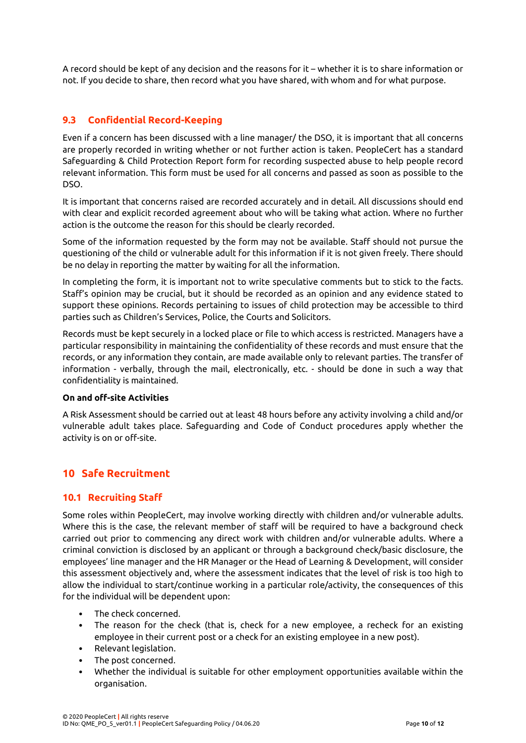A record should be kept of any decision and the reasons for it – whether it is to share information or not. If you decide to share, then record what you have shared, with whom and for what purpose.

#### <span id="page-10-0"></span>**9.3 Confidential Record-Keeping**

Even if a concern has been discussed with a line manager/ the DSO, it is important that all concerns are properly recorded in writing whether or not further action is taken. PeopleCert has a standard Safeguarding & Child Protection Report form for recording suspected abuse to help people record relevant information. This form must be used for all concerns and passed as soon as possible to the DSO.

It is important that concerns raised are recorded accurately and in detail. All discussions should end with clear and explicit recorded agreement about who will be taking what action. Where no further action is the outcome the reason for this should be clearly recorded.

Some of the information requested by the form may not be available. Staff should not pursue the questioning of the child or vulnerable adult for this information if it is not given freely. There should be no delay in reporting the matter by waiting for all the information.

In completing the form, it is important not to write speculative comments but to stick to the facts. Staff's opinion may be crucial, but it should be recorded as an opinion and any evidence stated to support these opinions. Records pertaining to issues of child protection may be accessible to third parties such as Children's Services, Police, the Courts and Solicitors.

Records must be kept securely in a locked place or file to which access is restricted. Managers have a particular responsibility in maintaining the confidentiality of these records and must ensure that the records, or any information they contain, are made available only to relevant parties. The transfer of information - verbally, through the mail, electronically, etc. - should be done in such a way that confidentiality is maintained.

#### **On and off-site Activities**

A Risk Assessment should be carried out at least 48 hours before any activity involving a child and/or vulnerable adult takes place. Safeguarding and Code of Conduct procedures apply whether the activity is on or off-site.

#### <span id="page-10-1"></span>**10 Safe Recruitment**

#### <span id="page-10-2"></span>**10.1 Recruiting Staff**

Some roles within PeopleCert, may involve working directly with children and/or vulnerable adults. Where this is the case, the relevant member of staff will be required to have a background check carried out prior to commencing any direct work with children and/or vulnerable adults. Where a criminal conviction is disclosed by an applicant or through a background check/basic disclosure, the employees' line manager and the HR Manager or the Head of Learning & Development, will consider this assessment objectively and, where the assessment indicates that the level of risk is too high to allow the individual to start/continue working in a particular role/activity, the consequences of this for the individual will be dependent upon:

- The check concerned.
- The reason for the check (that is, check for a new employee, a recheck for an existing employee in their current post or a check for an existing employee in a new post).
- Relevant legislation.
- The post concerned.
- Whether the individual is suitable for other employment opportunities available within the organisation.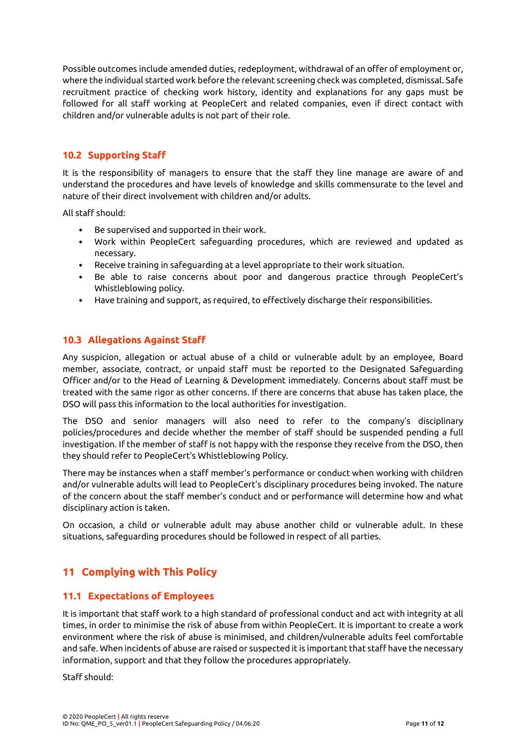Possible outcomes include amended duties, redeployment, withdrawal of an offer of employment or, where the individual started work before the relevant screening check was completed, dismissal. Safe recruitment practice of checking work history, identity and explanations for any gaps must be followed for all staff working at PeopleCert and related companies, even if direct contact with children and/or vulnerable adults is not part of their role.

#### <span id="page-11-0"></span>**10.2 Supporting Staff**

It is the responsibility of managers to ensure that the staff they line manage are aware of and understand the procedures and have levels of knowledge and skills commensurate to the level and nature of their direct involvement with children and/or adults.

All staff should:

- Be supervised and supported in their work.
- Work within PeopleCert safeguarding procedures, which are reviewed and updated as necessary.
- Receive training in safeguarding at a level appropriate to their work situation.
- Be able to raise concerns about poor and dangerous practice through PeopleCert's Whistleblowing policy.
- Have training and support, as required, to effectively discharge their responsibilities.

#### <span id="page-11-1"></span>**10.3 Allegations Against Staff**

Any suspicion, allegation or actual abuse of a child or vulnerable adult by an employee, Board member, associate, contract, or unpaid staff must be reported to the Designated Safeguarding Officer and/or to the Head of Learning & Development immediately. Concerns about staff must be treated with the same rigor as other concerns. If there are concerns that abuse has taken place, the DSO will pass this information to the local authorities for investigation.

The DSO and senior managers will also need to refer to the company's disciplinary policies/procedures and decide whether the member of staff should be suspended pending a full investigation. If the member of staff is not happy with the response they receive from the DSO, then they should refer to PeopleCert's Whistleblowing Policy.

There may be instances when a staff member's performance or conduct when working with children and/or vulnerable adults will lead to PeopleCert's disciplinary procedures being invoked. The nature of the concern about the staff member's conduct and or performance will determine how and what disciplinary action is taken.

On occasion, a child or vulnerable adult may abuse another child or vulnerable adult. In these situations, safeguarding procedures should be followed in respect of all parties.

## <span id="page-11-2"></span>**11 Complying with This Policy**

#### <span id="page-11-3"></span>**11.1 Expectations of Employees**

It is important that staff work to a high standard of professional conduct and act with integrity at all times, in order to minimise the risk of abuse from within PeopleCert. It is important to create a work environment where the risk of abuse is minimised, and children/vulnerable adults feel comfortable and safe. When incidents of abuse are raised or suspected it is important that staff have the necessary information, support and that they follow the procedures appropriately.

Staff should: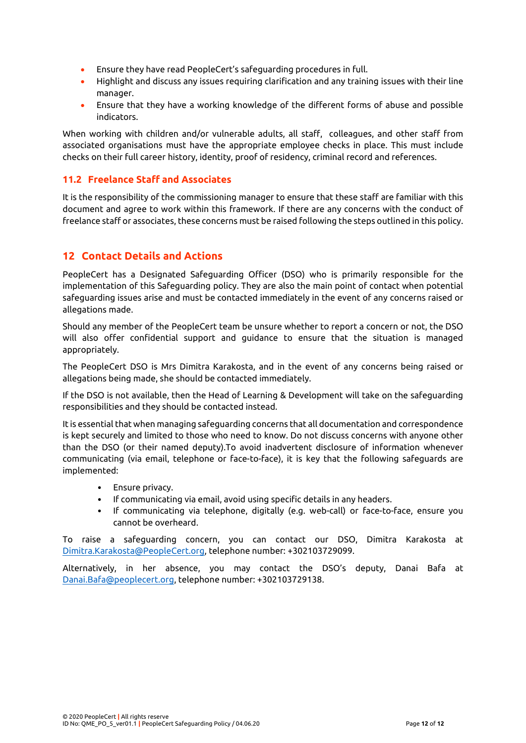- Ensure they have read PeopleCert's safeguarding procedures in full.
- Highlight and discuss any issues requiring clarification and any training issues with their line manager.
- Ensure that they have a working knowledge of the different forms of abuse and possible indicators.

When working with children and/or vulnerable adults, all staff, colleagues, and other staff from associated organisations must have the appropriate employee checks in place. This must include checks on their full career history, identity, proof of residency, criminal record and references.

#### <span id="page-12-0"></span>**11.2 Freelance Staff and Associates**

It is the responsibility of the commissioning manager to ensure that these staff are familiar with this document and agree to work within this framework. If there are any concerns with the conduct of freelance staff or associates, these concerns must be raised following the steps outlined in this policy.

#### <span id="page-12-1"></span>**12 Contact Details and Actions**

PeopleCert has a Designated Safeguarding Officer (DSO) who is primarily responsible for the implementation of this Safeguarding policy. They are also the main point of contact when potential safeguarding issues arise and must be contacted immediately in the event of any concerns raised or allegations made.

Should any member of the PeopleCert team be unsure whether to report a concern or not, the DSO will also offer confidential support and guidance to ensure that the situation is managed appropriately.

The PeopleCert DSO is Mrs Dimitra Karakosta, and in the event of any concerns being raised or allegations being made, she should be contacted immediately.

If the DSO is not available, then the Head of Learning & Development will take on the safeguarding responsibilities and they should be contacted instead.

It is essential that when managing safeguarding concerns that all documentation and correspondence is kept securely and limited to those who need to know. Do not discuss concerns with anyone other than the DSO (or their named deputy).To avoid inadvertent disclosure of information whenever communicating (via email, telephone or face-to-face), it is key that the following safeguards are implemented:

- Ensure privacy.
- If communicating via email, avoid using specific details in any headers.
- If communicating via telephone, digitally (e.g. web-call) or face-to-face, ensure you cannot be overheard.

To raise a safeguarding concern, you can contact our DSO, Dimitra Karakosta at [Dimitra.Karakosta@PeopleCert.org,](mailto:Dimitra.Karakosta@PeopleCert.org) telephone number: +302103729099.

Alternatively, in her absence, you may contact the DSO's deputy, Danai Bafa at [Danai.Bafa@peoplecert.org,](mailto:Danai.Bafa@peoplecert.org) telephone number: +302103729138.